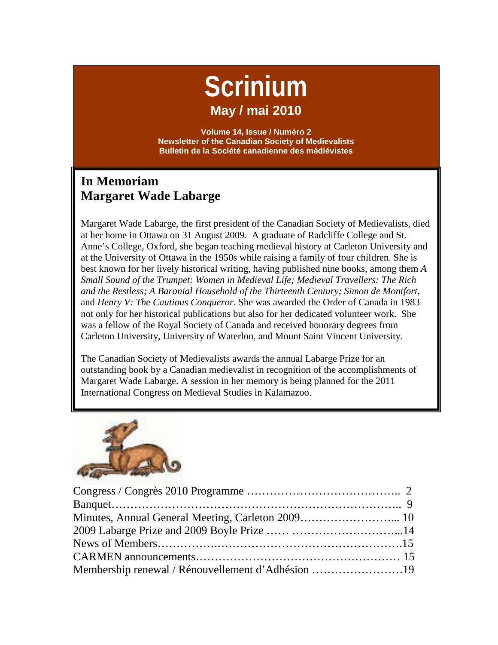# **Scrinium May / mai 2010**

**Volume 14, Issue / Numéro 2 Newsletter of the Canadian Society of Medievalists Bulletin de la Société canadienne des médiévistes**

## **In Memoriam Margaret Wade Labarge**

Margaret Wade Labarge, the first president of the Canadian Society of Medievalists, died at her home in Ottawa on 31 August 2009. A graduate of Radcliffe College and St. Anne's College, Oxford, she began teaching medieval history at Carleton University and at the University of Ottawa in the 1950s while raising a family of four children. She is best known for her lively historical writing, having published nine books, among them *A Small Sound of the Trumpet: Women in Medieval Life; Medieval Travellers: The Rich and the Restless; A Baronial Household of the Thirteenth Century; Simon de Montfort*, and *Henry V: The Cautious Conqueror.* She was awarded the Order of Canada in 1983 not only for her historical publications but also for her dedicated volunteer work. She was a fellow of the Royal Society of Canada and received honorary degrees from Carleton University, University of Waterloo, and Mount Saint Vincent University.

The Canadian Society of Medievalists awards the annual Labarge Prize for an outstanding book by a Canadian medievalist in recognition of the accomplishments of Margaret Wade Labarge. A session in her memory is being planned for the 2011 International Congress on Medieval Studies in Kalamazoo.



| Membership renewal / Rénouvellement d'Adhésion 19 |  |
|---------------------------------------------------|--|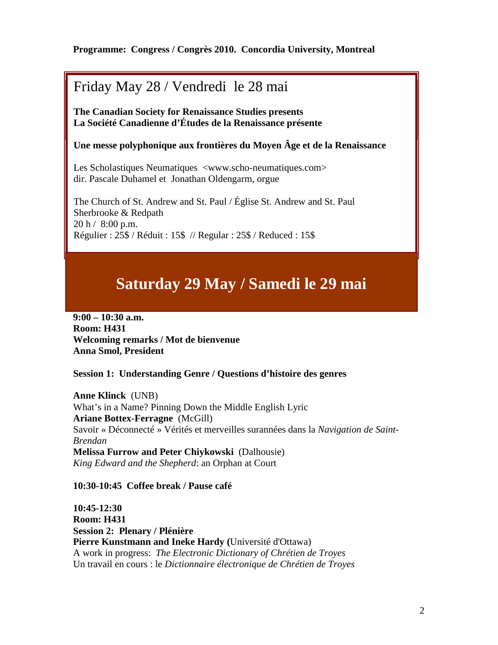### **Programme: Congress / Congrès 2010. Concordia University, Montreal**

# Friday May 28 / Vendredi le 28 mai

**Saturday, May 29 / Samedi 29 mai The Canadian Society for Renaissance Studies presents La Société Canadienne d'Études de la Renaissance présente**

#### **Une messe polyphonique aux frontières du Moyen Âge et de la Renaissance**

Les Scholastiques Neumatiques <www.scho-neumatiques.com> dir. Pascale Duhamel et Jonathan Oldengarm, orgue

The Church of St. Andrew and St. Paul / Église St. Andrew and St. Paul Sherbrooke & Redpath 20 h / 8:00 p.m. Régulier : 25\$ / Réduit : 15\$ // Regular : 25\$ / Reduced : 15\$

# **Saturday 29 May / Samedi le 29 mai**

**9:00 – 10:30 a.m. Room: H431 Welcoming remarks / Mot de bienvenue Anna Smol, President**

**Session 1: Understanding Genre / Questions d'histoire des genres**

**Anne Klinck** (UNB) What's in a Name? Pinning Down the Middle English Lyric **Ariane Bottex-Ferragne** (McGill) Savoir « Déconnecté » Vérités et merveilles surannées dans la *Navigation de Saint-Brendan* **Melissa Furrow and Peter Chiykowski** (Dalhousie) *King Edward and the Shepherd*: an Orphan at Court

#### **10:30-10:45 Coffee break / Pause café**

**10:45-12:30 Room: H431 Session 2: Plenary / Plénière Pierre Kunstmann and Ineke Hardy (**Université d'Ottawa) A work in progress: *The Electronic Dictionary of Chrétien de Troyes* Un travail en cours : le *Dictionnaire électronique de Chrétien de Troyes*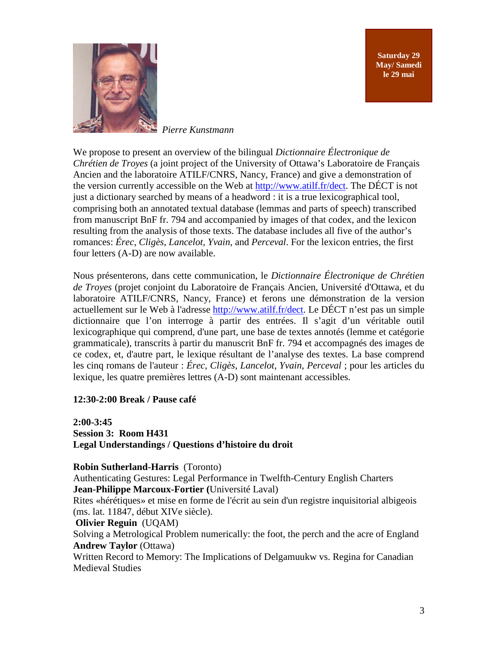**Saturday 29 May/ Samedi le 29 mai**



*Pierre Kunstmann*

We propose to present an overview of the bilingual *Dictionnaire Électronique de Chrétien de Troyes* (a joint project of the University of Ottawa's Laboratoire de Français Ancien and the laboratoire ATILF/CNRS, Nancy, France) and give a demonstration of the version currently accessible on the Web at [http://www.atilf.fr/dect.](http://www.atilf.fr/dect) The DÉCT is not just a dictionary searched by means of a headword : it is a true lexicographical tool, comprising both an annotated textual database (lemmas and parts of speech) transcribed from manuscript BnF fr. 794 and accompanied by images of that codex, and the lexicon resulting from the analysis of those texts. The database includes all five of the author's romances: *Érec*, *Cligès*, *Lancelot, Yvain*, and *Perceval*. For the lexicon entries, the first four letters (A-D) are now available.

Nous présenterons, dans cette communication, le *Dictionnaire Électronique de Chrétien de Troyes* (projet conjoint du Laboratoire de Français Ancien, Université d'Ottawa, et du laboratoire ATILF/CNRS, Nancy, France) et ferons une démonstration de la version actuellement sur le Web à l'adresse [http://www.atilf.fr/dect.](http://www.atilf.fr/dect) Le DÉCT n'est pas un simple dictionnaire que l'on interroge à partir des entrées. Il s'agit d'un véritable outil lexicographique qui comprend, d'une part, une base de textes annotés (lemme et catégorie grammaticale), transcrits à partir du manuscrit BnF fr. 794 et accompagnés des images de ce codex, et, d'autre part, le lexique résultant de l'analyse des textes. La base comprend les cinq romans de l'auteur : *Érec*, *Cligès*, *Lancelot, Yvain*, *Perceval* ; pour les articles du lexique, les quatre premières lettres (A-D) sont maintenant accessibles.

### **12:30-2:00 Break / Pause café**

**2:00-3:45 Session 3: Room H431 Legal Understandings / Questions d'histoire du droit**

#### **Robin Sutherland-Harris** (Toronto)

Authenticating Gestures: Legal Performance in Twelfth-Century English Charters **Jean-Philippe Marcoux-Fortier (**Université Laval)

Rites «hérétiques» et mise en forme de l'écrit au sein d'un registre inquisitorial albigeois (ms. lat. 11847, début XIVe siècle).

#### **Olivier Reguin** (UQAM)

Solving a Metrological Problem numerically: the foot, the perch and the acre of England **Andrew Taylor (Ottawa)** 

Written Record to Memory: The Implications of Delgamuukw vs. Regina for Canadian Medieval Studies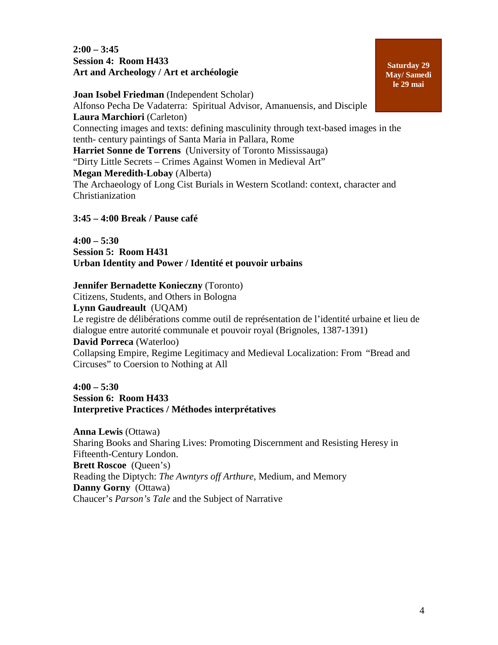**2:00 – 3:45 Session 4: Room H433 Art and Archeology / Art et archéologie**

**Joan Isobel Friedman** (Independent Scholar) Alfonso Pecha De Vadaterra: Spiritual Advisor, Amanuensis, and Disciple **Laura Marchiori** (Carleton) Connecting images and texts: defining masculinity through text-based images in the tenth- century paintings of Santa Maria in Pallara, Rome **Harriet Sonne de Torrens** (University of Toronto Mississauga) "Dirty Little Secrets – Crimes Against Women in Medieval Art" **Megan Meredith-Lobay** (Alberta) The Archaeology of Long Cist Burials in Western Scotland: context, character and Christianization

**3:45 – 4:00 Break / Pause café**

**4:00 – 5:30 Session 5: Room H431 Urban Identity and Power / Identité et pouvoir urbains**

#### **Jennifer Bernadette Konieczny** (Toronto)

Citizens, Students, and Others in Bologna **Lynn Gaudreault** (UQAM) Le registre de délibérations comme outil de représentation de l'identité urbaine et lieu de dialogue entre autorité communale et pouvoir royal (Brignoles, 1387-1391) **David Porreca** (Waterloo)

Collapsing Empire, Regime Legitimacy and Medieval Localization: From "Bread and Circuses" to Coersion to Nothing at All

**4:00 – 5:30 Session 6: Room H433 Interpretive Practices / Méthodes interprétatives**

**Anna Lewis** (Ottawa) Sharing Books and Sharing Lives: Promoting Discernment and Resisting Heresy in Fifteenth-Century London. **Brett Roscoe** (Queen's) Reading the Diptych: *The Awntyrs off Arthure*, Medium, and Memory **Danny Gorny** (Ottawa) Chaucer's *Parson's Tale* and the Subject of Narrative

**Saturday 29 May/ Samedi le 29 mai**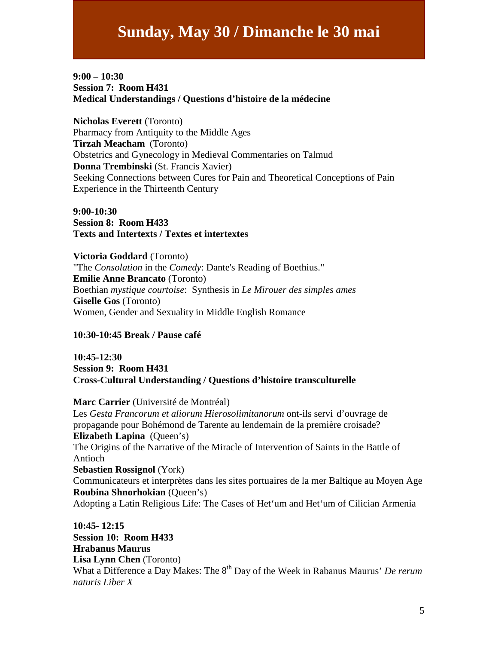### **9:00 – 10:30 Session 7: Room H431 Medical Understandings / Questions d'histoire de la médecine**

**Nicholas Everett** (Toronto) Pharmacy from Antiquity to the Middle Ages **Tirzah Meacham** (Toronto) Obstetrics and Gynecology in Medieval Commentaries on Talmud **Donna Trembinski** (St. Francis Xavier) Seeking Connections between Cures for Pain and Theoretical Conceptions of Pain Experience in the Thirteenth Century

**9:00-10:30 Session 8: Room H433 Texts and Intertexts / Textes et intertextes**

**Victoria Goddard** (Toronto) "The *Consolation* in the *Comedy*: Dante's Reading of Boethius." **Emilie Anne Brancato** (Toronto) Boethian *mystique courtoise*: Synthesis in *Le Mirouer des simples ames* **Giselle Gos** (Toronto) Women, Gender and Sexuality in Middle English Romance

#### **10:30-10:45 Break / Pause café**

**10:45-12:30 Session 9: Room H431 Cross-Cultural Understanding / Questions d'histoire transculturelle**

#### **Marc Carrier** (Université de Montréal)

Les *Gesta Francorum et aliorum Hierosolimitanorum* ont-ils servi d'ouvrage de propagande pour Bohémond de Tarente au lendemain de la première croisade? **Elizabeth Lapina** (Queen's) The Origins of the Narrative of the Miracle of Intervention of Saints in the Battle of Antioch **Sebastien Rossignol** (York) Communicateurs et interprètes dans les sites portuaires de la mer Baltique au Moyen Age **Roubina Shnorhokian** (Queen's) Adopting a Latin Religious Life: The Cases of Het'um and Het'um of Cilician Armenia

**10:45- 12:15 Session 10: Room H433 Hrabanus Maurus Lisa Lynn Chen** (Toronto) What a Difference a Day Makes: The 8<sup>th</sup> Day of the Week in Rabanus Maurus' *De rerum naturis Liber X*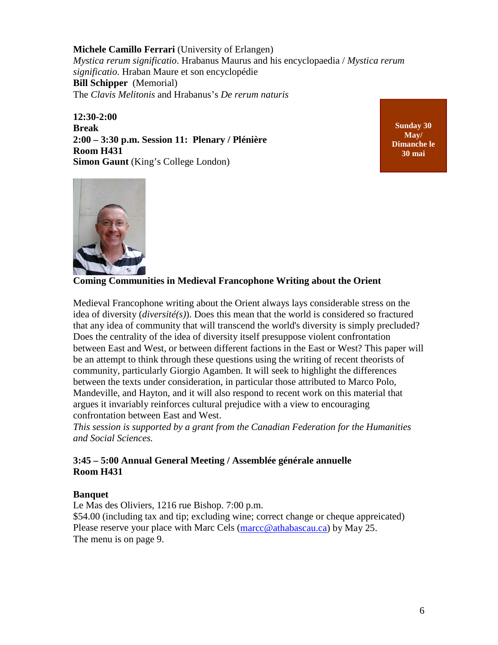**Michele Camillo Ferrari** (University of Erlangen) *Mystica rerum significatio*. Hrabanus Maurus and his encyclopaedia / *Mystica rerum significatio*. Hraban Maure et son encyclopédie **Bill Schipper** (Memorial) The *Clavis Melitonis* and Hrabanus's *De rerum naturis*

**12:30-2:00 Break 2:00 – 3:30 p.m. Session 11: Plenary / Plénière Room H431 Simon Gaunt** (King's College London)

**Sunday 30 May/ Dimanche le 30 mai**



**Coming Communities in Medieval Francophone Writing about the Orient**

Medieval Francophone writing about the Orient always lays considerable stress on the idea of diversity (*diversité(s)*). Does this mean that the world is considered so fractured that any idea of community that will transcend the world's diversity is simply precluded? Does the centrality of the idea of diversity itself presuppose violent confrontation between East and West, or between different factions in the East or West? This paper will be an attempt to think through these questions using the writing of recent theorists of community, particularly Giorgio Agamben. It will seek to highlight the differences between the texts under consideration, in particular those attributed to Marco Polo, Mandeville, and Hayton, and it will also respond to recent work on this material that argues it invariably reinforces cultural prejudice with a view to encouraging confrontation between East and West.

*This session is supported by a grant from the Canadian Federation for the Humanities and Social Sciences.*

### **3:45 – 5:00 Annual General Meeting / Assemblée générale annuelle Room H431**

### **Banquet**

Le Mas des Oliviers, 1216 rue Bishop. 7:00 p.m. \$54.00 (including tax and tip; excluding wine; correct change or cheque appreicated) Please reserve your place with Marc Cels [\(marcc@athabascau.ca\)](mailto:marcc@athabascau.ca) by May 25. The menu is on page 9.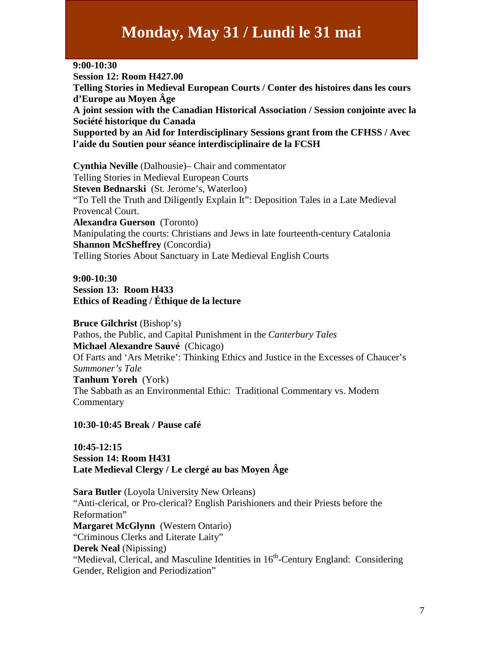# **Monday, May 31 / Lundi le 31 mai**

**9:00-10:30 Session 12: Room H427.00 Telling Stories in Medieval European Courts / Conter des histoires dans les cours d'Europe au Moyen Âge A joint session with the Canadian Historical Association / Session conjointe avec la Société historique du Canada Supported by an Aid for Interdisciplinary Sessions grant from the CFHSS / Avec l'aide du Soutien pour séance interdisciplinaire de la FCSH**

**Cynthia Neville** (Dalhousie)– Chair and commentator Telling Stories in Medieval European Courts **Steven Bednarski** (St. Jerome's, Waterloo) "To Tell the Truth and Diligently Explain It": Deposition Tales in a Late Medieval Provencal Court. **Alexandra Guerson** (Toronto) Manipulating the courts: Christians and Jews in late fourteenth-century Catalonia **Shannon McSheffrey** (Concordia) Telling Stories About Sanctuary in Late Medieval English Courts

### **9:00-10:30 Session 13: Room H433 Ethics of Reading / Éthique de la lecture**

**Bruce Gilchrist** (Bishop's) Pathos, the Public, and Capital Punishment in the *Canterbury Tales* **Michael Alexandre Sauvé** (Chicago) Of Farts and 'Ars Metrike': Thinking Ethics and Justice in the Excesses of Chaucer's *Summoner's Tale* **Tanhum Yoreh** (York) The Sabbath as an Environmental Ethic: Traditional Commentary vs. Modern Commentary

**10:30-10:45 Break / Pause café**

**10:45-12:15 Session 14: Room H431 Late Medieval Clergy / Le clergé au bas Moyen Âge**

**Sara Butler** (Loyola University New Orleans) "Anti-clerical, or Pro-clerical? English Parishioners and their Priests before the Reformation" **Margaret McGlynn** (Western Ontario) "Criminous Clerks and Literate Laity" **Derek Neal** (Nipissing) "Medieval, Clerical, and Masculine Identities in 16<sup>th</sup>-Century England: Considering Gender, Religion and Periodization"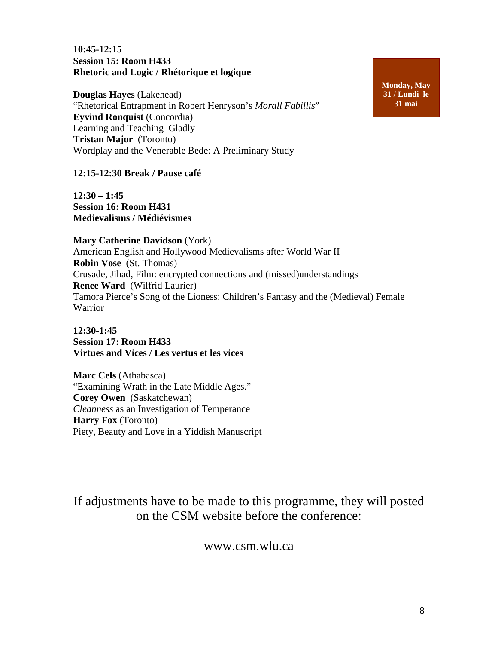#### **10:45-12:15 Session 15: Room H433 Rhetoric and Logic / Rhétorique et logique**

**Douglas Hayes** (Lakehead) "Rhetorical Entrapment in Robert Henryson's *Morall Fabillis*" **Eyvind Ronquist** (Concordia) Learning and Teaching–Gladly **Tristan Major** (Toronto) Wordplay and the Venerable Bede: A Preliminary Study

**12:15-12:30 Break / Pause café**

**12:30 – 1:45 Session 16: Room H431 Medievalisms / Médiévismes**

**Mary Catherine Davidson** (York) American English and Hollywood Medievalisms after World War II **Robin Vose** (St. Thomas) Crusade, Jihad, Film: encrypted connections and (missed)understandings **Renee Ward** (Wilfrid Laurier) Tamora Pierce's Song of the Lioness: Children's Fantasy and the (Medieval) Female Warrior

**12:30-1:45 Session 17: Room H433 Virtues and Vices / Les vertus et les vices**

**Marc Cels** (Athabasca) "Examining Wrath in the Late Middle Ages." **Corey Owen** (Saskatchewan) *Cleanness* as an Investigation of Temperance **Harry Fox** (Toronto) Piety, Beauty and Love in a Yiddish Manuscript

If adjustments have to be made to this programme, they will posted on the CSM website before the conference:

### www.csm.wlu.ca

**Monday, May 31 / Lundi le 31 mai**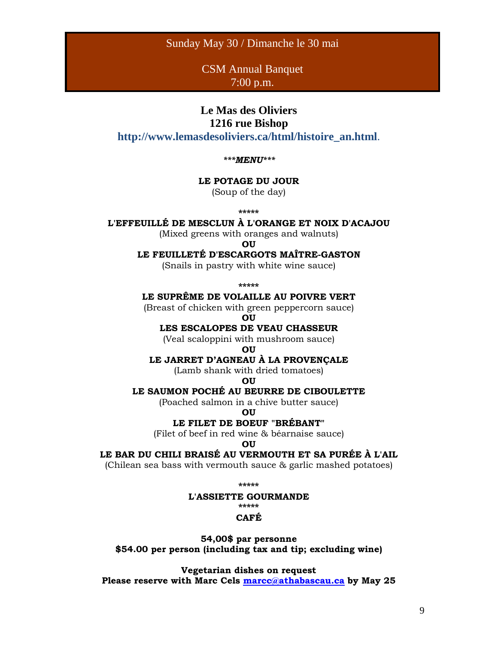#### Sunday May 30 / Dimanche le 30 mai

CSM Annual Banquet 7:00 p.m.

# **Le Mas des Oliviers**

### **1216 rue Bishop**

**http://www.lemasdesoliviers.ca/html/histoire\_an.html**.

*\*\*\*MENU\*\*\**

#### **LE POTAGE DU JOUR**

(Soup of the day)

**\*\*\*\*\***

#### **L'EFFEUILLÉ DE MESCLUN À L'ORANGE ET NOIX D'ACAJOU**

(Mixed greens with oranges and walnuts)

**OU**

**LE FEUILLETÉ D'ESCARGOTS MAÎTRE-GASTON**

(Snails in pastry with white wine sauce)

**\*\*\*\*\***

**LE SUPRÊME DE VOLAILLE AU POIVRE VERT**

(Breast of chicken with green peppercorn sauce)

**OU**

#### **LES ESCALOPES DE VEAU CHASSEUR**

(Veal scaloppini with mushroom sauce)

**OU**

#### **LE JARRET D'AGNEAU À LA PROVENÇALE**

(Lamb shank with dried tomatoes)

#### **OU**

#### **LE SAUMON POCHÉ AU BEURRE DE CIBOULETTE**

(Poached salmon in a chive butter sauce)

**OU**

#### **LE FILET DE BOEUF "BRÉBANT"**

(Filet of beef in red wine & béarnaise sauce)

**OU**

#### **LE BAR DU CHILI BRAISÉ AU VERMOUTH ET SA PURÉE À L'AIL**

(Chilean sea bass with vermouth sauce & garlic mashed potatoes)

**\*\*\*\*\***

#### **L'ASSIETTE GOURMANDE**

**\*\*\*\*\***

#### **CAFÉ**

**54,00\$ par personne \$54.00 per person (including tax and tip; excluding wine)**

**Vegetarian dishes on request Please reserve with Marc Cels [marcc@athabascau.ca](mailto:marcc@athabascau.ca) by May 25**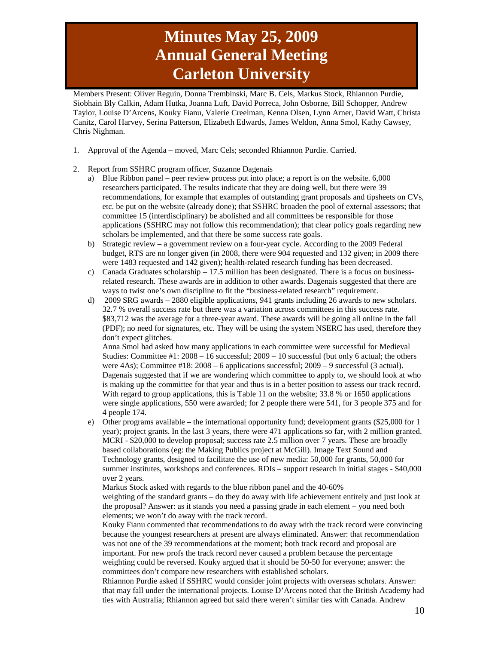# **Minutes May 25, 2009 Annual General Meeting Carleton University**

Members Present: Oliver Reguin, Donna Trembinski, Marc B. Cels, Markus Stock, Rhiannon Purdie, Siobhain Bly Calkin, Adam Hutka, Joanna Luft, David Porreca, John Osborne, Bill Schopper, Andrew Taylor, Louise D'Arcens, Kouky Fianu, Valerie Creelman, Kenna Olsen, Lynn Arner, David Watt, Christa Canitz, Carol Harvey, Serina Patterson, Elizabeth Edwards, James Weldon, Anna Smol, Kathy Cawsey, Chris Nighman.

- 1. Approval of the Agenda moved, Marc Cels; seconded Rhiannon Purdie. Carried.
- 2. Report from SSHRC program officer, Suzanne Dagenais
	- a) Blue Ribbon panel peer review process put into place; a report is on the website. 6,000 researchers participated. The results indicate that they are doing well, but there were 39 recommendations, for example that examples of outstanding grant proposals and tipsheets on CVs, etc. be put on the website (already done); that SSHRC broaden the pool of external assessors; that committee 15 (interdisciplinary) be abolished and all committees be responsible for those applications (SSHRC may not follow this recommendation); that clear policy goals regarding new scholars be implemented, and that there be some success rate goals.
	- b) Strategic review a government review on a four-year cycle. According to the 2009 Federal budget, RTS are no longer given (in 2008, there were 904 requested and 132 given; in 2009 there were 1483 requested and 142 given); health-related research funding has been decreased.
	- c) Canada Graduates scholarship 17.5 million has been designated. There is a focus on businessrelated research. These awards are in addition to other awards. Dagenais suggested that there are ways to twist one's own discipline to fit the "business-related research" requirement.
	- d) 2009 SRG awards 2880 eligible applications, 941 grants including 26 awards to new scholars. 32.7 % overall success rate but there was a variation across committees in this success rate. \$83,712 was the average for a three-year award. These awards will be going all online in the fall (PDF); no need for signatures, etc. They will be using the system NSERC has used, therefore they don't expect glitches.

Anna Smol had asked how many applications in each committee were successful for Medieval Studies: Committee  $\#1$ : 2008 – 16 successful; 2009 – 10 successful (but only 6 actual; the others were  $4As$ ; Committee  $#18: 2008 - 6$  applications successful;  $2009 - 9$  successful (3 actual). Dagenais suggested that if we are wondering which committee to apply to, we should look at who is making up the committee for that year and thus is in a better position to assess our track record. With regard to group applications, this is Table 11 on the website; 33.8 % or 1650 applications were single applications, 550 were awarded; for 2 people there were 541, for 3 people 375 and for 4 people 174.

e) Other programs available – the international opportunity fund; development grants (\$25,000 for 1 year); project grants. In the last 3 years, there were 471 applications so far, with 2 million granted. MCRI - \$20,000 to develop proposal; success rate 2.5 million over 7 years. These are broadly based collaborations (eg: the Making Publics project at McGill). Image Text Sound and Technology grants, designed to facilitate the use of new media: 50,000 for grants, 50,000 for summer institutes, workshops and conferences. RDIs – support research in initial stages - \$40,000 over 2 years.

Markus Stock asked with regards to the blue ribbon panel and the 40-60%

weighting of the standard grants – do they do away with life achievement entirely and just look at the proposal? Answer: as it stands you need a passing grade in each element – you need both elements; we won't do away with the track record.

Kouky Fianu commented that recommendations to do away with the track record were convincing because the youngest researchers at present are always eliminated. Answer: that recommendation was not one of the 39 recommendations at the moment; both track record and proposal are important. For new profs the track record never caused a problem because the percentage weighting could be reversed. Kouky argued that it should be 50-50 for everyone; answer: the committees don't compare new researchers with established scholars.

Rhiannon Purdie asked if SSHRC would consider joint projects with overseas scholars. Answer: that may fall under the international projects. Louise D'Arcens noted that the British Academy had ties with Australia; Rhiannon agreed but said there weren't similar ties with Canada. Andrew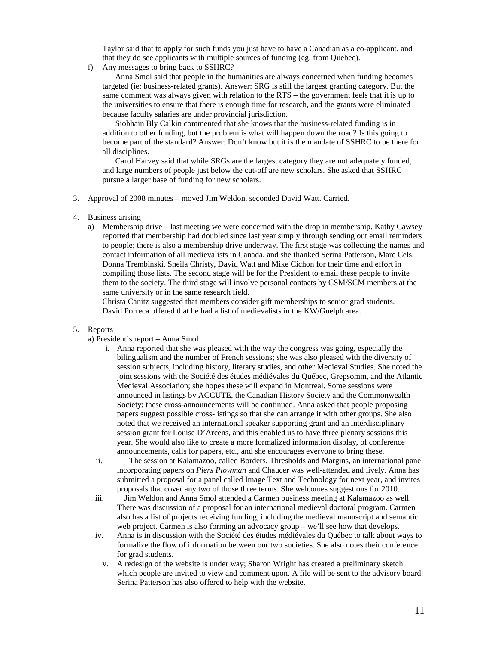Taylor said that to apply for such funds you just have to have a Canadian as a co-applicant, and that they do see applicants with multiple sources of funding (eg. from Quebec).

f) Any messages to bring back to SSHRC?

Anna Smol said that people in the humanities are always concerned when funding becomes targeted (ie: business-related grants). Answer: SRG is still the largest granting category. But the same comment was always given with relation to the RTS – the government feels that it is up to the universities to ensure that there is enough time for research, and the grants were eliminated because faculty salaries are under provincial jurisdiction.

Siobhain Bly Calkin commented that she knows that the business-related funding is in addition to other funding, but the problem is what will happen down the road? Is this going to become part of the standard? Answer: Don't know but it is the mandate of SSHRC to be there for all disciplines.

Carol Harvey said that while SRGs are the largest category they are not adequately funded, and large numbers of people just below the cut-off are new scholars. She asked that SSHRC pursue a larger base of funding for new scholars.

- 3. Approval of 2008 minutes moved Jim Weldon, seconded David Watt. Carried.
- 4. Business arising
	- a) Membership drive last meeting we were concerned with the drop in membership. Kathy Cawsey reported that membership had doubled since last year simply through sending out email reminders to people; there is also a membership drive underway. The first stage was collecting the names and contact information of all medievalists in Canada, and she thanked Serina Patterson, Marc Cels, Donna Trembinski, Sheila Christy, David Watt and Mike Cichon for their time and effort in compiling those lists. The second stage will be for the President to email these people to invite them to the society. The third stage will involve personal contacts by CSM/SCM members at the same university or in the same research field.

Christa Canitz suggested that members consider gift memberships to senior grad students. David Porreca offered that he had a list of medievalists in the KW/Guelph area.

#### 5. Reports

a) President's report – Anna Smol

- i. Anna reported that she was pleased with the way the congress was going, especially the bilingualism and the number of French sessions; she was also pleased with the diversity of session subjects, including history, literary studies, and other Medieval Studies. She noted the joint sessions with the Société des études médiévales du Québec, Grepsomm, and the Atlantic Medieval Association; she hopes these will expand in Montreal. Some sessions were announced in listings by ACCUTE, the Canadian History Society and the Commonwealth Society; these cross-announcements will be continued. Anna asked that people proposing papers suggest possible cross-listings so that she can arrange it with other groups. She also noted that we received an international speaker supporting grant and an interdisciplinary session grant for Louise D'Arcens, and this enabled us to have three plenary sessions this year. She would also like to create a more formalized information display, of conference announcements, calls for papers, etc., and she encourages everyone to bring these.
- ii. The session at Kalamazoo, called Borders, Thresholds and Margins, an international panel incorporating papers on *Piers Plowman* and Chaucer was well-attended and lively. Anna has submitted a proposal for a panel called Image Text and Technology for next year, and invites proposals that cover any two of those three terms. She welcomes suggestions for 2010.
- iii. Jim Weldon and Anna Smol attended a Carmen business meeting at Kalamazoo as well. There was discussion of a proposal for an international medieval doctoral program. Carmen also has a list of projects receiving funding, including the medieval manuscript and semantic web project. Carmen is also forming an advocacy group – we'll see how that develops.
- iv. Anna is in discussion with the Société des études médiévales du Québec to talk about ways to formalize the flow of information between our two societies. She also notes their conference for grad students.
	- v. A redesign of the website is under way; Sharon Wright has created a preliminary sketch which people are invited to view and comment upon. A file will be sent to the advisory board. Serina Patterson has also offered to help with the website.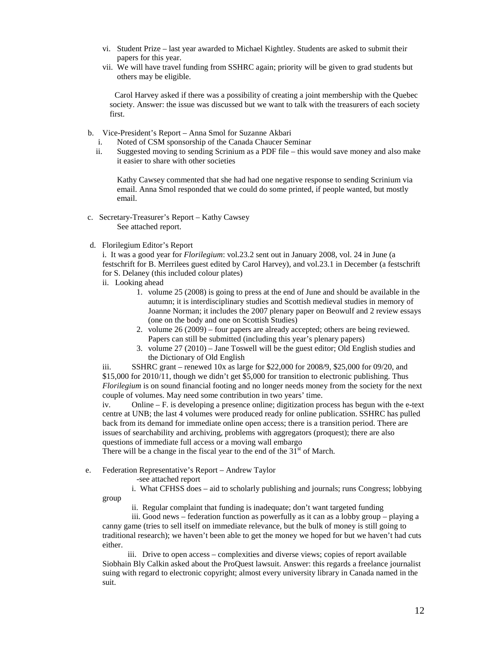- vi. Student Prize last year awarded to Michael Kightley. Students are asked to submit their papers for this year.
- vii. We will have travel funding from SSHRC again; priority will be given to grad students but others may be eligible.

Carol Harvey asked if there was a possibility of creating a joint membership with the Quebec society. Answer: the issue was discussed but we want to talk with the treasurers of each society first.

- b. Vice-President's Report Anna Smol for Suzanne Akbari
	- i. Noted of CSM sponsorship of the Canada Chaucer Seminar
	- ii. Suggested moving to sending Scrinium as a PDF file this would save money and also make it easier to share with other societies

Kathy Cawsey commented that she had had one negative response to sending Scrinium via email. Anna Smol responded that we could do some printed, if people wanted, but mostly email.

 c. Secretary-Treasurer's Report – Kathy Cawsey See attached report.

#### d. Florilegium Editor's Report

i. It was a good year for *Florilegium*: vol.23.2 sent out in January 2008, vol. 24 in June (a festschrift for B. Merrilees guest edited by Carol Harvey), and vol.23.1 in December (a festschrift for S. Delaney (this included colour plates)

- ii. Looking ahead
	- 1. volume 25 (2008) is going to press at the end of June and should be available in the autumn; it is interdisciplinary studies and Scottish medieval studies in memory of Joanne Norman; it includes the 2007 plenary paper on Beowulf and 2 review essays (one on the body and one on Scottish Studies)
	- 2. volume 26 (2009) four papers are already accepted; others are being reviewed. Papers can still be submitted (including this year's plenary papers)
	- 3. volume 27 (2010) Jane Toswell will be the guest editor; Old English studies and the Dictionary of Old English

iii. SSHRC grant – renewed  $10x$  as large for \$22,000 for 2008/9, \$25,000 for 09/20, and \$15,000 for 2010/11, though we didn't get \$5,000 for transition to electronic publishing. Thus *Florilegium* is on sound financial footing and no longer needs money from the society for the next couple of volumes. May need some contribution in two years' time.

iv. Online – F. is developing a presence online; digitization process has begun with the e-text centre at UNB; the last 4 volumes were produced ready for online publication. SSHRC has pulled back from its demand for immediate online open access; there is a transition period. There are issues of searchability and archiving, problems with aggregators (proquest); there are also questions of immediate full access or a moving wall embargo

There will be a change in the fiscal year to the end of the  $31<sup>st</sup>$  of March.

e. Federation Representative's Report – Andrew Taylor

-see attached report

group

i. What CFHSS does – aid to scholarly publishing and journals; runs Congress; lobbying

ii. Regular complaint that funding is inadequate; don't want targeted funding

iii. Good news – federation function as powerfully as it can as a lobby group – playing a canny game (tries to sell itself on immediate relevance, but the bulk of money is still going to traditional research); we haven't been able to get the money we hoped for but we haven't had cuts either.

iii. Drive to open access – complexities and diverse views; copies of report available Siobhain Bly Calkin asked about the ProQuest lawsuit. Answer: this regards a freelance journalist suing with regard to electronic copyright; almost every university library in Canada named in the suit.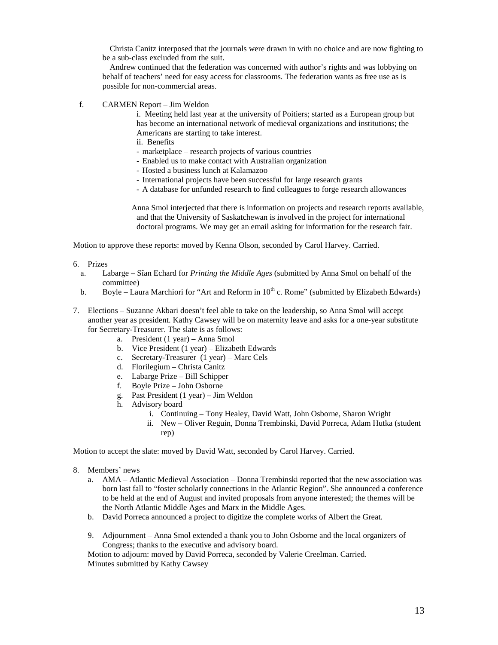Christa Canitz interposed that the journals were drawn in with no choice and are now fighting to be a sub-class excluded from the suit.

Andrew continued that the federation was concerned with author's rights and was lobbying on behalf of teachers' need for easy access for classrooms. The federation wants as free use as is possible for non-commercial areas.

f. CARMEN Report – Jim Weldon

i. Meeting held last year at the university of Poitiers; started as a European group but has become an international network of medieval organizations and institutions; the Americans are starting to take interest.

- ii. Benefits
- marketplace research projects of various countries
- Enabled us to make contact with Australian organization
- Hosted a business lunch at Kalamazoo
- International projects have been successful for large research grants
- A database for unfunded research to find colleagues to forge research allowances

Anna Smol interjected that there is information on projects and research reports available, and that the University of Saskatchewan is involved in the project for international doctoral programs. We may get an email asking for information for the research fair.

Motion to approve these reports: moved by Kenna Olson, seconded by Carol Harvey. Carried.

- 6. Prizes
	- a. Labarge Sîan Echard for *Printing the Middle Ages* (submitted by Anna Smol on behalf of the committee)
	- b. Boyle Laura Marchiori for "Art and Reform in  $10^{th}$  c. Rome" (submitted by Elizabeth Edwards)
- 7. Elections Suzanne Akbari doesn't feel able to take on the leadership, so Anna Smol will accept another year as president. Kathy Cawsey will be on maternity leave and asks for a one-year substitute for Secretary-Treasurer. The slate is as follows:
	- a. President (1 year) Anna Smol
	- b. Vice President (1 year) Elizabeth Edwards
	- c. Secretary-Treasurer (1 year) Marc Cels
	- d. Florilegium Christa Canitz
	- e. Labarge Prize Bill Schipper
	- f. Boyle Prize John Osborne
	- g. Past President (1 year) Jim Weldon
	- h. Advisory board
		- i. Continuing Tony Healey, David Watt, John Osborne, Sharon Wright
		- ii. New Oliver Reguin, Donna Trembinski, David Porreca, Adam Hutka (student rep)

Motion to accept the slate: moved by David Watt, seconded by Carol Harvey. Carried.

- 8. Members' news
	- a. AMA Atlantic Medieval Association Donna Trembinski reported that the new association was born last fall to "foster scholarly connections in the Atlantic Region". She announced a conference to be held at the end of August and invited proposals from anyone interested; the themes will be the North Atlantic Middle Ages and Marx in the Middle Ages.
	- b. David Porreca announced a project to digitize the complete works of Albert the Great.
	- 9. Adjournment Anna Smol extended a thank you to John Osborne and the local organizers of Congress; thanks to the executive and advisory board.

Motion to adjourn: moved by David Porreca, seconded by Valerie Creelman. Carried. Minutes submitted by Kathy Cawsey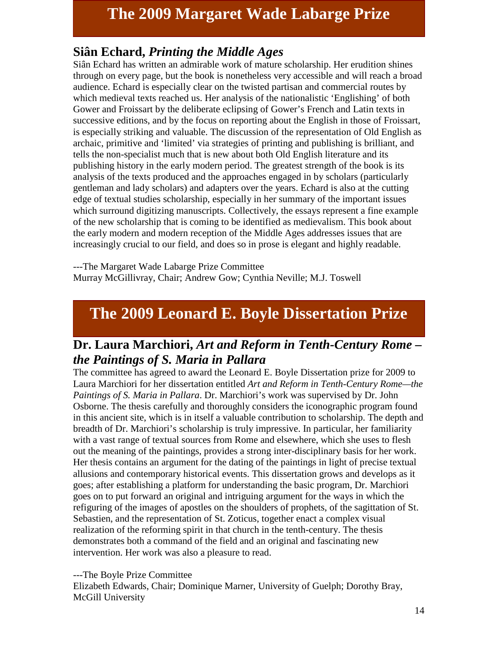# **The 2009 Margaret Wade Labarge Prize**

### **Siân Echard,** *Printing the Middle Ages*

Siân Echard has written an admirable work of mature scholarship. Her erudition shines through on every page, but the book is nonetheless very accessible and will reach a broad audience. Echard is especially clear on the twisted partisan and commercial routes by which medieval texts reached us. Her analysis of the nationalistic 'Englishing' of both Gower and Froissart by the deliberate eclipsing of Gower's French and Latin texts in successive editions, and by the focus on reporting about the English in those of Froissart, is especially striking and valuable. The discussion of the representation of Old English as archaic, primitive and 'limited' via strategies of printing and publishing is brilliant, and tells the non-specialist much that is new about both Old English literature and its publishing history in the early modern period. The greatest strength of the book is its analysis of the texts produced and the approaches engaged in by scholars (particularly gentleman and lady scholars) and adapters over the years. Echard is also at the cutting edge of textual studies scholarship, especially in her summary of the important issues which surround digitizing manuscripts. Collectively, the essays represent a fine example of the new scholarship that is coming to be identified as medievalism. This book about the early modern and modern reception of the Middle Ages addresses issues that are increasingly crucial to our field, and does so in prose is elegant and highly readable.

---The Margaret Wade Labarge Prize Committee Murray McGillivray, Chair; Andrew Gow; Cynthia Neville; M.J. Toswell

# **The 2009 Leonard E. Boyle Dissertation Prize**

### **Dr. Laura Marchiori,** *Art and Reform in Tenth-Century Rome – the Paintings of S. Maria in Pallara*

The committee has agreed to award the Leonard E. Boyle Dissertation prize for 2009 to Laura Marchiori for her dissertation entitled *Art and Reform in Tenth-Century Rome—the Paintings of S. Maria in Pallara*. Dr. Marchiori's work was supervised by Dr. John Osborne. The thesis carefully and thoroughly considers the iconographic program found in this ancient site, which is in itself a valuable contribution to scholarship. The depth and breadth of Dr. Marchiori's scholarship is truly impressive. In particular, her familiarity with a vast range of textual sources from Rome and elsewhere, which she uses to flesh out the meaning of the paintings, provides a strong inter-disciplinary basis for her work. Her thesis contains an argument for the dating of the paintings in light of precise textual allusions and contemporary historical events. This dissertation grows and develops as it goes; after establishing a platform for understanding the basic program, Dr. Marchiori goes on to put forward an original and intriguing argument for the ways in which the refiguring of the images of apostles on the shoulders of prophets, of the sagittation of St. Sebastien, and the representation of St. Zoticus, together enact a complex visual realization of the reforming spirit in that church in the tenth-century. The thesis demonstrates both a command of the field and an original and fascinating new intervention. Her work was also a pleasure to read.

### ---The Boyle Prize Committee

Elizabeth Edwards, Chair; Dominique Marner, University of Guelph; Dorothy Bray, McGill University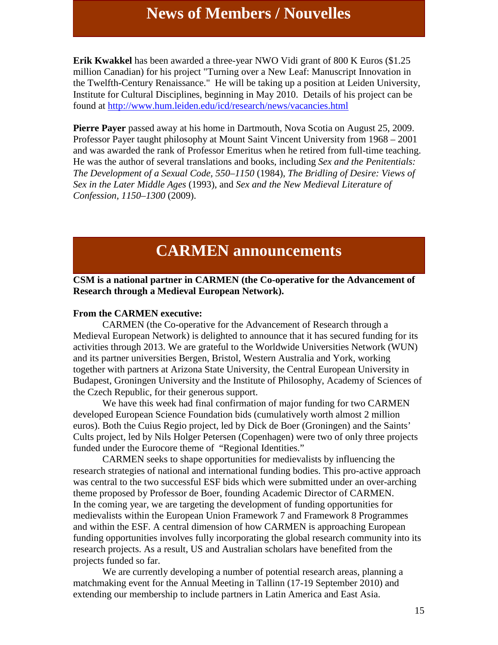# **News of Members / Nouvelles**

**Erik Kwakkel** has been awarded a three-year NWO Vidi grant of 800 K Euros (\$1.25 million Canadian) for his project "Turning over a New Leaf: Manuscript Innovation in the Twelfth-Century Renaissance." He will be taking up a position at Leiden University, Institute for Cultural Disciplines, beginning in May 2010. Details of his project can be found at<http://www.hum.leiden.edu/icd/research/news/vacancies.html>

**Pierre Payer** passed away at his home in Dartmouth, Nova Scotia on August 25, 2009. Professor Payer taught philosophy at Mount Saint Vincent University from 1968 – 2001 and was awarded the rank of Professor Emeritus when he retired from full-time teaching. He was the author of several translations and books, including *Sex and the Penitentials: The Development of a Sexual Code, 550–1150* (1984), *The Bridling of Desire: Views of Sex in the Later Middle Ages* (1993), and *Sex and the New Medieval Literature of Confession, 1150–1300* (2009).

# **CARMEN announcements**

#### **CSM is a national partner in CARMEN (the Co-operative for the Advancement of Research through a Medieval European Network).**

#### **From the CARMEN executive:**

CARMEN (the Co-operative for the Advancement of Research through a Medieval European Network) is delighted to announce that it has secured funding for its activities through 2013. We are grateful to the Worldwide Universities Network (WUN) and its partner universities Bergen, Bristol, Western Australia and York, working together with partners at Arizona State University, the Central European University in Budapest, Groningen University and the Institute of Philosophy, Academy of Sciences of the Czech Republic, for their generous support.

We have this week had final confirmation of major funding for two CARMEN developed European Science Foundation bids (cumulatively worth almost 2 million euros). Both the Cuius Regio project, led by Dick de Boer (Groningen) and the Saints' Cults project, led by Nils Holger Petersen (Copenhagen) were two of only three projects funded under the Eurocore theme of "Regional Identities."

CARMEN seeks to shape opportunities for medievalists by influencing the research strategies of national and international funding bodies. This pro-active approach was central to the two successful ESF bids which were submitted under an over-arching theme proposed by Professor de Boer, founding Academic Director of CARMEN. In the coming year, we are targeting the development of funding opportunities for medievalists within the European Union Framework 7 and Framework 8 Programmes and within the ESF. A central dimension of how CARMEN is approaching European funding opportunities involves fully incorporating the global research community into its research projects. As a result, US and Australian scholars have benefited from the projects funded so far.

We are currently developing a number of potential research areas, planning a matchmaking event for the Annual Meeting in Tallinn (17-19 September 2010) and extending our membership to include partners in Latin America and East Asia.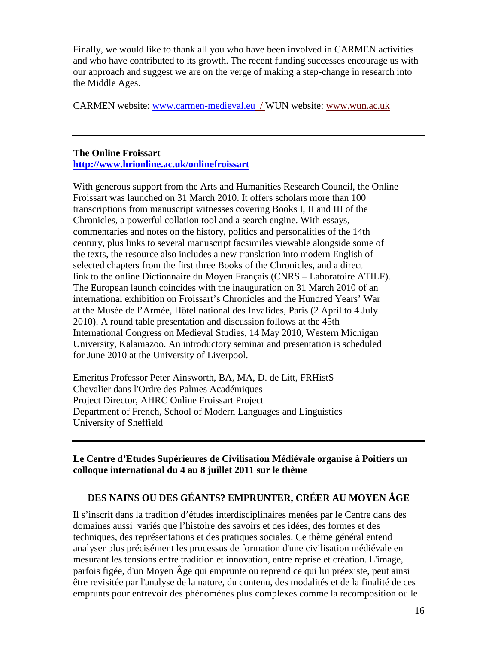Finally, we would like to thank all you who have been involved in CARMEN activities and who have contributed to its growth. The recent funding successes encourage us with our approach and suggest we are on the verge of making a step-change in research into the Middle Ages.

CARMEN website: [www.carmen-medieval.eu](http://www.carmen-medieval.eu/) / WUN website: [www.wun.ac.uk](http://www.wun.ac.uk/)

#### **The Online Froissart <http://www.hrionline.ac.uk/onlinefroissart>**

With generous support from the Arts and Humanities Research Council, the Online Froissart was launched on 31 March 2010. It offers scholars more than 100 transcriptions from manuscript witnesses covering Books I, II and III of the Chronicles, a powerful collation tool and a search engine. With essays, commentaries and notes on the history, politics and personalities of the 14th century, plus links to several manuscript facsimiles viewable alongside some of the texts, the resource also includes a new translation into modern English of selected chapters from the first three Books of the Chronicles, and a direct link to the online Dictionnaire du Moyen Français (CNRS – Laboratoire ATILF). The European launch coincides with the inauguration on 31 March 2010 of an international exhibition on Froissart's Chronicles and the Hundred Years' War at the Musée de l'Armée, Hôtel national des Invalides, Paris (2 April to 4 July 2010). A round table presentation and discussion follows at the 45th International Congress on Medieval Studies, 14 May 2010, Western Michigan University, Kalamazoo. An introductory seminar and presentation is scheduled for June 2010 at the University of Liverpool.

Emeritus Professor Peter Ainsworth, BA, MA, D. de Litt, FRHistS Chevalier dans l'Ordre des Palmes Académiques Project Director, AHRC Online Froissart Project Department of French, School of Modern Languages and Linguistics University of Sheffield

### **Le Centre d'Etudes Supérieures de Civilisation Médiévale organise à Poitiers un colloque international du 4 au 8 juillet 2011 sur le thème**

### **DES NAINS OU DES GÉANTS? EMPRUNTER, CRÉER AU MOYEN ÂGE**

Il s'inscrit dans la tradition d'études interdisciplinaires menées par le Centre dans des domaines aussi variés que l'histoire des savoirs et des idées, des formes et des techniques, des représentations et des pratiques sociales. Ce thème général entend analyser plus précisément les processus de formation d'une civilisation médiévale en mesurant les tensions entre tradition et innovation, entre reprise et création. L'image, parfois figée, d'un Moyen Âge qui emprunte ou reprend ce qui lui préexiste, peut ainsi être revisitée par l'analyse de la nature, du contenu, des modalités et de la finalité de ces emprunts pour entrevoir des phénomènes plus complexes comme la recomposition ou le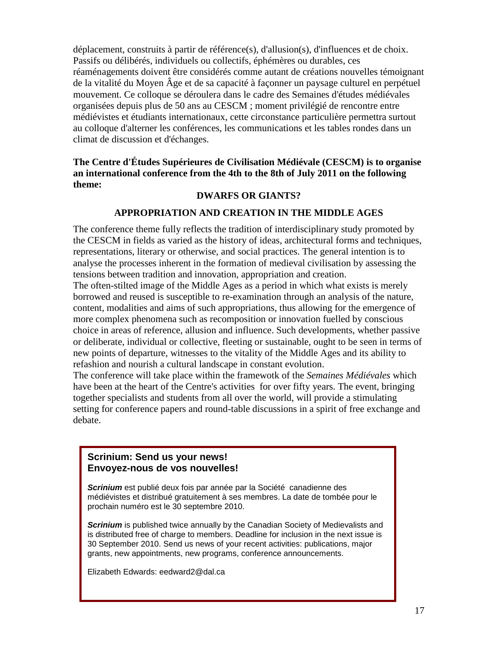déplacement, construits à partir de référence(s), d'allusion(s), d'influences et de choix. Passifs ou délibérés, individuels ou collectifs, éphémères ou durables, ces réaménagements doivent être considérés comme autant de créations nouvelles témoignant de la vitalité du Moyen Âge et de sa capacité à façonner un paysage culturel en perpétuel mouvement. Ce colloque se déroulera dans le cadre des Semaines d'études médiévales organisées depuis plus de 50 ans au CESCM ; moment privilégié de rencontre entre médiévistes et étudiants internationaux, cette circonstance particulière permettra surtout au colloque d'alterner les conférences, les communications et les tables rondes dans un climat de discussion et d'échanges.

### **The Centre d'Études Supérieures de Civilisation Médiévale (CESCM) is to organise an international conference from the 4th to the 8th of July 2011 on the following theme:**

#### **DWARFS OR GIANTS?**

#### **APPROPRIATION AND CREATION IN THE MIDDLE AGES**

The conference theme fully reflects the tradition of interdisciplinary study promoted by the CESCM in fields as varied as the history of ideas, architectural forms and techniques, representations, literary or otherwise, and social practices. The general intention is to analyse the processes inherent in the formation of medieval civilisation by assessing the tensions between tradition and innovation, appropriation and creation.

The often-stilted image of the Middle Ages as a period in which what exists is merely borrowed and reused is susceptible to re-examination through an analysis of the nature, content, modalities and aims of such appropriations, thus allowing for the emergence of more complex phenomena such as recomposition or innovation fuelled by conscious choice in areas of reference, allusion and influence. Such developments, whether passive or deliberate, individual or collective, fleeting or sustainable, ought to be seen in terms of new points of departure, witnesses to the vitality of the Middle Ages and its ability to refashion and nourish a cultural landscape in constant evolution.

The conference will take place within the framewotk of the *Semaines Médiévales* which have been at the heart of the Centre's activities for over fifty years. The event, bringing together specialists and students from all over the world, will provide a stimulating setting for conference papers and round-table discussions in a spirit of free exchange and debate.

### **Scrinium: Send us your news! Envoyez-nous de vos nouvelles!**

*Scrinium* est publié deux fois par année par la Société canadienne des médiévistes et distribué gratuitement à ses membres. La date de tombée pour le prochain numéro est le 30 septembre 2010.

**Scrinium** is published twice annually by the Canadian Society of Medievalists and is distributed free of charge to members. Deadline for inclusion in the next issue is 30 September 2010. Send us news of your recent activities: publications, major grants, new appointments, new programs, conference announcements.

Elizabeth Edwards: eedward2@dal.ca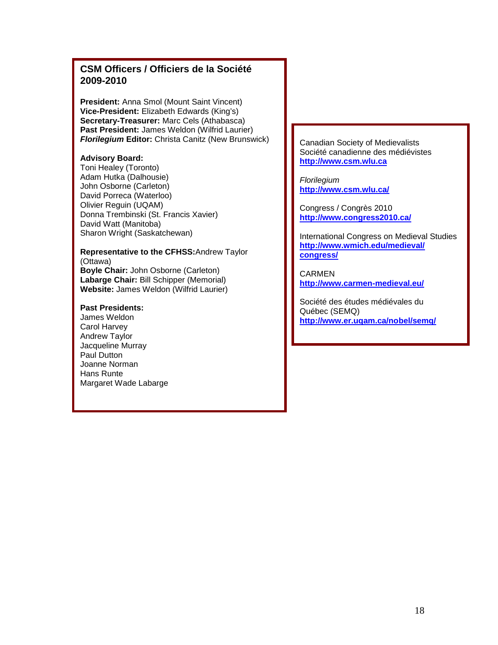### **CSM Officers / Officiers de la Société 2009-2010**

**President:** Anna Smol (Mount Saint Vincent) **Vice-President:** Elizabeth Edwards (King's) **Secretary-Treasurer:** Marc Cels (Athabasca) **Past President:** James Weldon (Wilfrid Laurier) *Florilegium Editor: Christa Canitz (New Brunswick)* 

#### **Advisory Board:**

Toni Healey (Toronto) Adam Hutka (Dalhousie) John Osborne (Carleton) David Porreca (Waterloo) Olivier Reguin (UQAM) Donna Trembinski (St. Francis Xavier) David Watt (Manitoba) Sharon Wright (Saskatchewan)

#### **Representative to the CFHSS:**Andrew Taylor (Ottawa)

**Boyle Chair:** John Osborne (Carleton) **Labarge Chair:** Bill Schipper (Memorial) **Website:** James Weldon (Wilfrid Laurier)

#### **Past Presidents:**

James Weldon Carol Harvey Andrew Taylor Jacqueline Murray Paul Dutton Joanne Norman Hans Runte Margaret Wade Labarge Canadian Society of Medievalists Société canadienne des médiévistes **[http://www.csm.wlu.ca](http://www.csm.wlu.ca/)**

*Florilegium*  **<http://www.csm.wlu.ca/>**

Congress / Congrès 2010 **<http://www.congress2010.ca/>**

International Congress on Medieval Studies **<http://www.wmich.edu/medieval/> [congress/](http://www.wmich.edu/medieval/)**

**CARMEN <http://www.carmen-medieval.eu/>**

Société des études médiévales du Québec (SEMQ) **<http://www.er.uqam.ca/nobel/semq/>**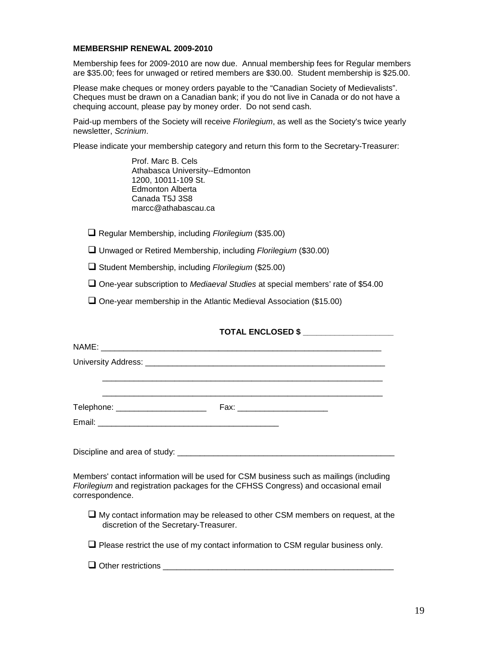#### **MEMBERSHIP RENEWAL 2009-2010**

Membership fees for 2009-2010 are now due. Annual membership fees for Regular members are \$35.00; fees for unwaged or retired members are \$30.00. Student membership is \$25.00.

Please make cheques or money orders payable to the "Canadian Society of Medievalists". Cheques must be drawn on a Canadian bank; if you do not live in Canada or do not have a chequing account, please pay by money order. Do not send cash.

Paid-up members of the Society will receive *Florilegium*, as well as the Society's twice yearly newsletter, *Scrinium*.

Please indicate your membership category and return this form to the Secretary-Treasurer:

Prof. Marc B. Cels Athabasca University--Edmonton 1200, 10011-109 St. Edmonton Alberta Canada T5J 3S8 marcc@athabascau.ca

■ Regular Membership, including *Florilegium* (\$35.00)

Unwaged or Retired Membership, including *Florilegium* (\$30.00)

Student Membership, including *Florilegium* (\$25.00)

One-year subscription to *Mediaeval Studies* at special members' rate of \$54.00

 $\Box$  One-year membership in the Atlantic Medieval Association (\$15.00)

### **TOTAL ENCLOSED \$ \_\_\_\_\_\_\_\_\_\_\_\_\_\_\_\_\_\_\_\_**

| Members' contact information will be used for CSM business such as mailings (including<br>Florilegium and registration packages for the CFHSS Congress) and occasional email<br>correspondence. |
|-------------------------------------------------------------------------------------------------------------------------------------------------------------------------------------------------|
| $\Box$ My contact information may be released to other CSM members on request, at the<br>discretion of the Secretary-Treasurer.                                                                 |
| $\Box$ Please restrict the use of my contact information to CSM regular business only.                                                                                                          |
| $\Box$ Other restrictions                                                                                                                                                                       |